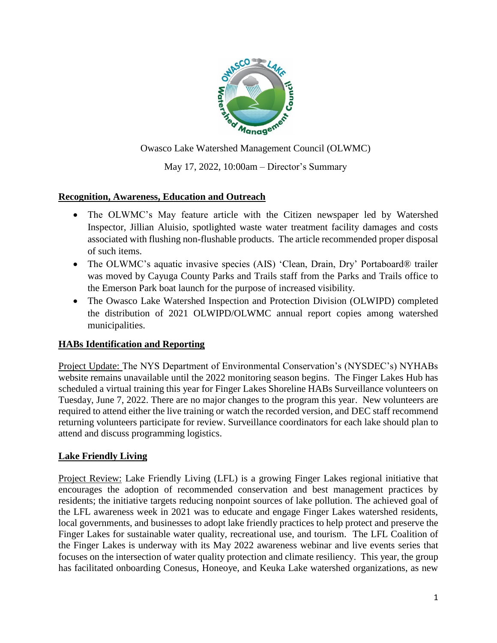

Owasco Lake Watershed Management Council (OLWMC)

May 17, 2022, 10:00am – Director's Summary

#### **Recognition, Awareness, Education and Outreach**

- The OLWMC's May feature article with the Citizen newspaper led by Watershed Inspector, Jillian Aluisio, spotlighted waste water treatment facility damages and costs associated with flushing non-flushable products. The article recommended proper disposal of such items.
- The OLWMC's aquatic invasive species (AIS) 'Clean, Drain, Dry' Portaboard® trailer was moved by Cayuga County Parks and Trails staff from the Parks and Trails office to the Emerson Park boat launch for the purpose of increased visibility.
- The Owasco Lake Watershed Inspection and Protection Division (OLWIPD) completed the distribution of 2021 OLWIPD/OLWMC annual report copies among watershed municipalities.

#### **HABs Identification and Reporting**

Project Update: The NYS Department of Environmental Conservation's (NYSDEC's) NYHABs website remains unavailable until the 2022 monitoring season begins. The Finger Lakes Hub has scheduled a virtual training this year for Finger Lakes Shoreline HABs Surveillance volunteers on Tuesday, June 7, 2022. There are no major changes to the program this year. New volunteers are required to attend either the live training or watch the recorded version, and DEC staff recommend returning volunteers participate for review. Surveillance coordinators for each lake should plan to attend and discuss programming logistics.

#### **Lake Friendly Living**

Project Review: Lake Friendly Living (LFL) is a growing Finger Lakes regional initiative that encourages the adoption of recommended conservation and best management practices by residents; the initiative targets reducing nonpoint sources of lake pollution. The achieved goal of the LFL awareness week in 2021 was to educate and engage Finger Lakes watershed residents, local governments, and businesses to adopt lake friendly practices to help protect and preserve the Finger Lakes for sustainable water quality, recreational use, and tourism. The LFL Coalition of the Finger Lakes is underway with its May 2022 awareness webinar and live events series that focuses on the intersection of water quality protection and climate resiliency. This year, the group has facilitated onboarding Conesus, Honeoye, and Keuka Lake watershed organizations, as new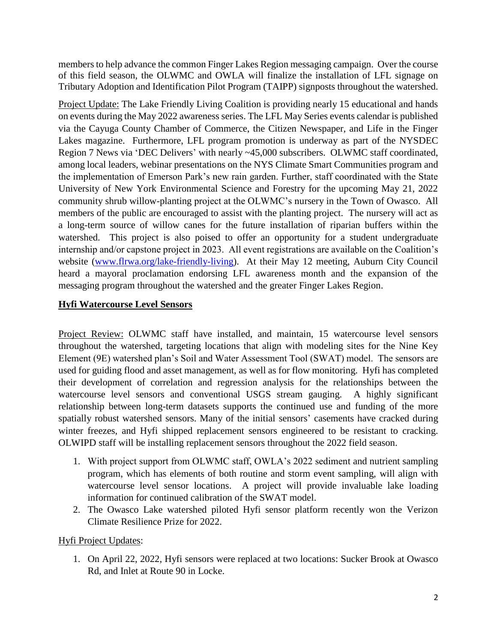members to help advance the common Finger Lakes Region messaging campaign. Over the course of this field season, the OLWMC and OWLA will finalize the installation of LFL signage on Tributary Adoption and Identification Pilot Program (TAIPP) signposts throughout the watershed.

Project Update: The Lake Friendly Living Coalition is providing nearly 15 educational and hands on events during the May 2022 awareness series. The LFL May Series events calendar is published via the Cayuga County Chamber of Commerce, the Citizen Newspaper, and Life in the Finger Lakes magazine. Furthermore, LFL program promotion is underway as part of the NYSDEC Region 7 News via 'DEC Delivers' with nearly ~45,000 subscribers. OLWMC staff coordinated, among local leaders, webinar presentations on the NYS Climate Smart Communities program and the implementation of Emerson Park's new rain garden. Further, staff coordinated with the State University of New York Environmental Science and Forestry for the upcoming May 21, 2022 community shrub willow-planting project at the OLWMC's nursery in the Town of Owasco. All members of the public are encouraged to assist with the planting project. The nursery will act as a long-term source of willow canes for the future installation of riparian buffers within the watershed. This project is also poised to offer an opportunity for a student undergraduate internship and/or capstone project in 2023. All event registrations are available on the Coalition's website [\(www.flrwa.org/lake-friendly-living\)](http://www.flrwa.org/lake-friendly-living). At their May 12 meeting, Auburn City Council heard a mayoral proclamation endorsing LFL awareness month and the expansion of the messaging program throughout the watershed and the greater Finger Lakes Region.

#### **Hyfi Watercourse Level Sensors**

Project Review: OLWMC staff have installed, and maintain, 15 watercourse level sensors throughout the watershed, targeting locations that align with modeling sites for the Nine Key Element (9E) watershed plan's Soil and Water Assessment Tool (SWAT) model. The sensors are used for guiding flood and asset management, as well as for flow monitoring. Hyfi has completed their development of correlation and regression analysis for the relationships between the watercourse level sensors and conventional USGS stream gauging. A highly significant relationship between long-term datasets supports the continued use and funding of the more spatially robust watershed sensors. Many of the initial sensors' casements have cracked during winter freezes, and Hyfi shipped replacement sensors engineered to be resistant to cracking. OLWIPD staff will be installing replacement sensors throughout the 2022 field season.

- 1. With project support from OLWMC staff, OWLA's 2022 sediment and nutrient sampling program, which has elements of both routine and storm event sampling, will align with watercourse level sensor locations. A project will provide invaluable lake loading information for continued calibration of the SWAT model.
- 2. The Owasco Lake watershed piloted Hyfi sensor platform recently won the Verizon Climate Resilience Prize for 2022.

#### Hyfi Project Updates:

1. On April 22, 2022, Hyfi sensors were replaced at two locations: Sucker Brook at Owasco Rd, and Inlet at Route 90 in Locke.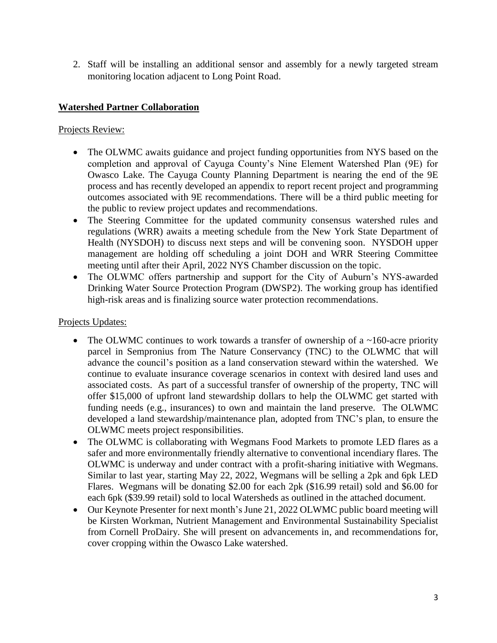2. Staff will be installing an additional sensor and assembly for a newly targeted stream monitoring location adjacent to Long Point Road.

### **Watershed Partner Collaboration**

Projects Review:

- The OLWMC awaits guidance and project funding opportunities from NYS based on the completion and approval of Cayuga County's Nine Element Watershed Plan (9E) for Owasco Lake. The Cayuga County Planning Department is nearing the end of the 9E process and has recently developed an appendix to report recent project and programming outcomes associated with 9E recommendations. There will be a third public meeting for the public to review project updates and recommendations.
- The Steering Committee for the updated community consensus watershed rules and regulations (WRR) awaits a meeting schedule from the New York State Department of Health (NYSDOH) to discuss next steps and will be convening soon. NYSDOH upper management are holding off scheduling a joint DOH and WRR Steering Committee meeting until after their April, 2022 NYS Chamber discussion on the topic.
- The OLWMC offers partnership and support for the City of Auburn's NYS-awarded Drinking Water Source Protection Program (DWSP2). The working group has identified high-risk areas and is finalizing source water protection recommendations.

#### Projects Updates:

- The OLWMC continues to work towards a transfer of ownership of a  $\sim$ 160-acre priority parcel in Sempronius from The Nature Conservancy (TNC) to the OLWMC that will advance the council's position as a land conservation steward within the watershed. We continue to evaluate insurance coverage scenarios in context with desired land uses and associated costs. As part of a successful transfer of ownership of the property, TNC will offer \$15,000 of upfront land stewardship dollars to help the OLWMC get started with funding needs (e.g., insurances) to own and maintain the land preserve. The OLWMC developed a land stewardship/maintenance plan, adopted from TNC's plan, to ensure the OLWMC meets project responsibilities.
- The OLWMC is collaborating with Wegmans Food Markets to promote LED flares as a safer and more environmentally friendly alternative to conventional incendiary flares. The OLWMC is underway and under contract with a profit-sharing initiative with Wegmans. Similar to last year, starting May 22, 2022, Wegmans will be selling a 2pk and 6pk LED Flares. Wegmans will be donating \$2.00 for each 2pk (\$16.99 retail) sold and \$6.00 for each 6pk (\$39.99 retail) sold to local Watersheds as outlined in the attached document.
- Our Keynote Presenter for next month's June 21, 2022 OLWMC public board meeting will be Kirsten Workman, Nutrient Management and Environmental Sustainability Specialist from Cornell ProDairy. She will present on advancements in, and recommendations for, cover cropping within the Owasco Lake watershed.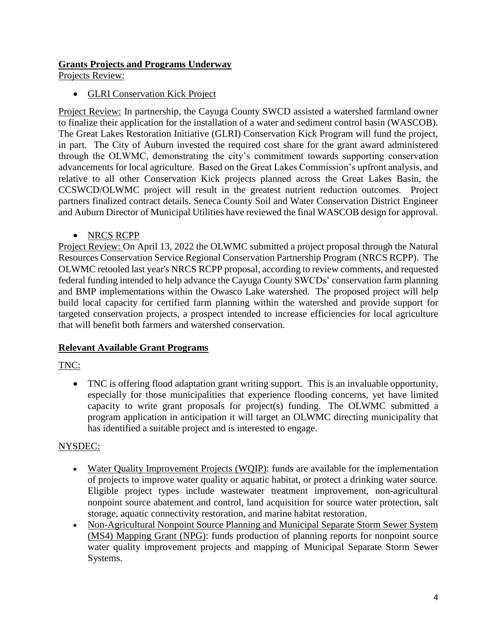## **Grants Projects and Programs Underway**

Projects Review:

#### GLRI Conservation Kick Project

Project Review: In partnership, the Cayuga County SWCD assisted a watershed farmland owner to finalize their application for the installation of a water and sediment control basin (WASCOB). The Great Lakes Restoration Initiative (GLRI) Conservation Kick Program will fund the project, in part. The City of Auburn invested the required cost share for the grant award administered through the OLWMC, demonstrating the city's commitment towards supporting conservation advancements for local agriculture. Based on the Great Lakes Commission's upfront analysis, and relative to all other Conservation Kick projects planned across the Great Lakes Basin, the CCSWCD/OLWMC project will result in the greatest nutrient reduction outcomes*.* Project partners finalized contract details. Seneca County Soil and Water Conservation District Engineer and Auburn Director of Municipal Utilities have reviewed the final WASCOB design for approval.

#### • NRCS RCPP

Project Review: On April 13, 2022 the OLWMC submitted a project proposal through the Natural Resources Conservation Service Regional Conservation Partnership Program (NRCS RCPP). The OLWMC retooled last year's NRCS RCPP proposal, according to review comments, and requested federal funding intended to help advance the Cayuga County SWCDs' conservation farm planning and BMP implementations within the Owasco Lake watershed. The proposed project will help build local capacity for certified farm planning within the watershed and provide support for targeted conservation projects, a prospect intended to increase efficiencies for local agriculture that will benefit both farmers and watershed conservation.

#### **Relevant Available Grant Programs**

# TNC:

 TNC is offering flood adaptation grant writing support. This is an invaluable opportunity, especially for those municipalities that experience flooding concerns, yet have limited capacity to write grant proposals for project(s) funding. The OLWMC submitted a program application in anticipation it will target an OLWMC directing municipality that has identified a suitable project and is interested to engage.

#### NYSDEC:

- [Water Quality Improvement Projects](https://gcc02.safelinks.protection.outlook.com/?url=https%3A%2F%2Flnks.gd%2Fl%2FeyJhbGciOiJIUzI1NiJ9.eyJidWxsZXRpbl9saW5rX2lkIjoxMDMsInVyaSI6ImJwMjpjbGljayIsImJ1bGxldGluX2lkIjoiMjAyMjA1MTAuNTc2Njc4ODEiLCJ1cmwiOiJodHRwczovL3d3dy5kZWMubnkuZ292L3B1YnMvNDc3NC5odG1sIn0.gd1OB3MtEqd64ATFtjvVmcucCmoJs0Pt2aYfsWWjRJk%2Fs%2F173601332%2Fbr%2F131058055804-l&data=05%7C01%7Cshannon.dougherty%40dec.ny.gov%7Cec3579af0bdb4b5953be08da329841c1%7Cf46cb8ea79004d108ceb80e8c1c81ee7%7C0%7C0%7C637877926764339076%7CUnknown%7CTWFpbGZsb3d8eyJWIjoiMC4wLjAwMDAiLCJQIjoiV2luMzIiLCJBTiI6Ik1haWwiLCJXVCI6Mn0%3D%7C3000%7C%7C%7C&sdata=k%2BE1OM9vIhF6flVprtk4NXz2sr1%2FhMBk49MHKLP%2FF3Q%3D&reserved=0) (WQIP): funds are available for the implementation of projects to improve water quality or aquatic habitat, or protect a drinking water source. Eligible project types include wastewater treatment improvement, non-agricultural nonpoint source abatement and control, land acquisition for source water protection, salt storage, aquatic connectivity restoration, and marine habitat restoration.
- [Non-Agricultural Nonpoint Source Planning](https://gcc02.safelinks.protection.outlook.com/?url=https%3A%2F%2Flnks.gd%2Fl%2FeyJhbGciOiJIUzI1NiJ9.eyJidWxsZXRpbl9saW5rX2lkIjoxMDQsInVyaSI6ImJwMjpjbGljayIsImJ1bGxldGluX2lkIjoiMjAyMjA1MTAuNTc2Njc4ODEiLCJ1cmwiOiJodHRwczovL3d3dy5kZWMubnkuZ292L3B1YnMvMTE2NzI1Lmh0bWwifQ.l5uT6azX592qZRczVFs2KQTl6mHwAYL4vsfV_Mg2X1U%2Fs%2F173601332%2Fbr%2F131058055804-l&data=05%7C01%7Cshannon.dougherty%40dec.ny.gov%7Cec3579af0bdb4b5953be08da329841c1%7Cf46cb8ea79004d108ceb80e8c1c81ee7%7C0%7C0%7C637877926764339076%7CUnknown%7CTWFpbGZsb3d8eyJWIjoiMC4wLjAwMDAiLCJQIjoiV2luMzIiLCJBTiI6Ik1haWwiLCJXVCI6Mn0%3D%7C3000%7C%7C%7C&sdata=F30wAj3Dgr0p8XFfXZGmRorJd%2FNjI7QedkVgZfeMgOA%3D&reserved=0) and Municipal Separate Storm Sewer System (MS4) Mapping Grant (NPG): funds production of planning reports for nonpoint source water quality improvement projects and mapping of Municipal Separate Storm Sewer Systems.